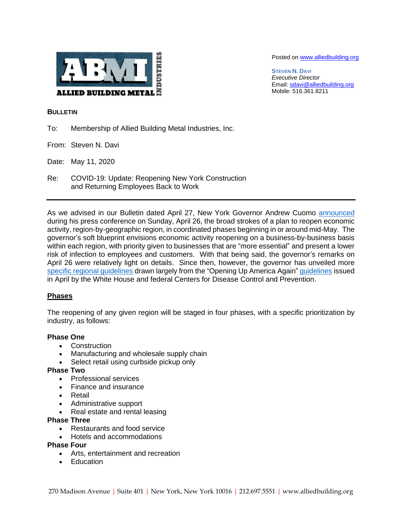

Posted on [www.alliedbuilding.org](http://www.alliedbuilding.org/)

**STEVEN N. DAVI** *Executive Director* Email[: sdavi@alliedbuilding.org](mailto:sdavi@alliedbuilding.org) Mobile: 516.361.8211

### **BULLETIN**

- To: Membership of Allied Building Metal Industries, Inc.
- From: Steven N. Davi
- Date: May 11, 2020
- Re: COVID-19: Update: Reopening New York Construction and Returning Employees Back to Work

As we advised in our Bulletin dated April 27, New York Governor Andrew Cuomo [announced](https://theparksidegroup.us2.list-manage.com/track/click?u=7fd9ae70108e304ffff7f4dcf&id=25a82ffbf8&e=99b9c928e5) during his press conference on Sunday, April 26, the broad strokes of a plan to reopen economic activity, region-by-geographic region, in coordinated phases beginning in or around mid-May. The governor's soft blueprint envisions economic activity reopening on a business-by-business basis within each region, with priority given to businesses that are "more essential" and present a lower risk of infection to employees and customers. With that being said, the governor's remarks on April 26 were relatively light on details. Since then, however, the governor has unveiled more [specific regional guidelines](https://www.governor.ny.gov/new-york-forward/regional-guidelines-re-opening-new-york) drawn largely from the "Opening Up America Again" [guidelines](https://www.whitehouse.gov/wp-content/uploads/2020/04/Guidelines-for-Opening-Up-America-Again.pdf) issued in April by the White House and federal Centers for Disease Control and Prevention.

# **Phases**

The reopening of any given region will be staged in four phases, with a specific prioritization by industry, as follows:

# **Phase One**

- Construction
- Manufacturing and wholesale supply chain
- Select retail using curbside pickup only

#### **Phase Two**

- Professional services
- Finance and insurance
- Retail
- Administrative support
- Real estate and rental leasing

#### **Phase Three**

- Restaurants and food service
- Hotels and accommodations

#### **Phase Four**

- Arts, entertainment and recreation
- **Education**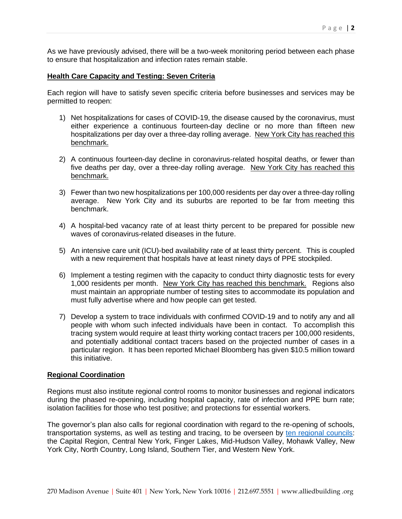As we have previously advised, there will be a two-week monitoring period between each phase to ensure that hospitalization and infection rates remain stable.

### **Health Care Capacity and Testing: Seven Criteria**

Each region will have to satisfy seven specific criteria before businesses and services may be permitted to reopen:

- 1) Net hospitalizations for cases of COVID-19, the disease caused by the coronavirus, must either experience a continuous fourteen-day decline or no more than fifteen new hospitalizations per day over a three-day rolling average. New York City has reached this benchmark.
- 2) A continuous fourteen-day decline in coronavirus-related hospital deaths, or fewer than five deaths per day, over a three-day rolling average. New York City has reached this benchmark.
- 3) Fewer than two new hospitalizations per 100,000 residents per day over a three-day rolling average. New York City and its suburbs are reported to be far from meeting this benchmark.
- 4) A hospital-bed vacancy rate of at least thirty percent to be prepared for possible new waves of coronavirus-related diseases in the future.
- 5) An intensive care unit (ICU)-bed availability rate of at least thirty percent. This is coupled with a new requirement that hospitals have at least ninety days of PPE stockpiled.
- 6) Implement a testing regimen with the capacity to conduct thirty diagnostic tests for every 1,000 residents per month. New York City has reached this benchmark. Regions also must maintain an appropriate number of testing sites to accommodate its population and must fully advertise where and how people can get tested.
- 7) Develop a system to trace individuals with confirmed COVID-19 and to notify any and all people with whom such infected individuals have been in contact. To accomplish this tracing system would require at least thirty working contact tracers per 100,000 residents, and potentially additional contact tracers based on the projected number of cases in a particular region. It has been reported Michael Bloomberg has given \$10.5 million toward this initiative.

#### **Regional Coordination**

Regions must also institute regional control rooms to monitor businesses and regional indicators during the phased re-opening, including hospital capacity, rate of infection and PPE burn rate; isolation facilities for those who test positive; and protections for essential workers.

The governor's plan also calls for regional coordination with regard to the re-opening of schools, transportation systems, as well as testing and tracing, to be overseen by [ten regional councils:](https://www.governor.ny.gov/sites/governor.ny.gov/files/atoms/files/RegionalCouncilMap.pdf) the Capital Region, Central New York, Finger Lakes, Mid-Hudson Valley, Mohawk Valley, New York City, North Country, Long Island, Southern Tier, and Western New York.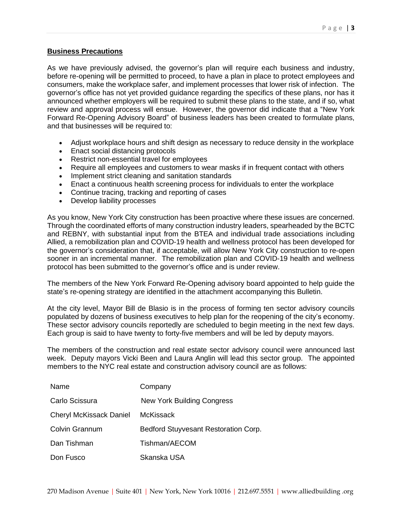### **Business Precautions**

As we have previously advised, the governor's plan will require each business and industry, before re-opening will be permitted to proceed, to have a plan in place to protect employees and consumers, make the workplace safer, and implement processes that lower risk of infection. The governor's office has not yet provided guidance regarding the specifics of these plans, nor has it announced whether employers will be required to submit these plans to the state, and if so, what review and approval process will ensue. However, the governor did indicate that a "New York Forward Re-Opening Advisory Board" of business leaders has been created to formulate plans, and that businesses will be required to:

- Adjust workplace hours and shift design as necessary to reduce density in the workplace
- Enact social distancing protocols
- Restrict non-essential travel for employees
- Require all employees and customers to wear masks if in frequent contact with others
- Implement strict cleaning and sanitation standards
- Enact a continuous health screening process for individuals to enter the workplace
- Continue tracing, tracking and reporting of cases
- Develop liability processes

As you know, New York City construction has been proactive where these issues are concerned. Through the coordinated efforts of many construction industry leaders, spearheaded by the BCTC and REBNY, with substantial input from the BTEA and individual trade associations including Allied, a remobilization plan and COVID-19 health and wellness protocol has been developed for the governor's consideration that, if acceptable, will allow New York City construction to re-open sooner in an incremental manner. The remobilization plan and COVID-19 health and wellness protocol has been submitted to the governor's office and is under review.

The members of the New York Forward Re-Opening advisory board appointed to help guide the state's re-opening strategy are identified in the attachment accompanying this Bulletin.

At the city level, Mayor Bill de Blasio is in the process of forming ten sector advisory councils populated by dozens of business executives to help plan for the reopening of the city's economy. These sector advisory councils reportedly are scheduled to begin meeting in the next few days. Each group is said to have twenty to forty-five members and will be led by deputy mayors.

The members of the construction and real estate sector advisory council were announced last week. Deputy mayors Vicki Been and Laura Anglin will lead this sector group. The appointed members to the NYC real estate and construction advisory council are as follows:

| Name                           | Company                              |
|--------------------------------|--------------------------------------|
| Carlo Scissura                 | <b>New York Building Congress</b>    |
| <b>Cheryl McKissack Daniel</b> | McKissack                            |
| Colvin Grannum                 | Bedford Stuyvesant Restoration Corp. |
| Dan Tishman                    | Tishman/AECOM                        |
| Don Fusco                      | Skanska USA                          |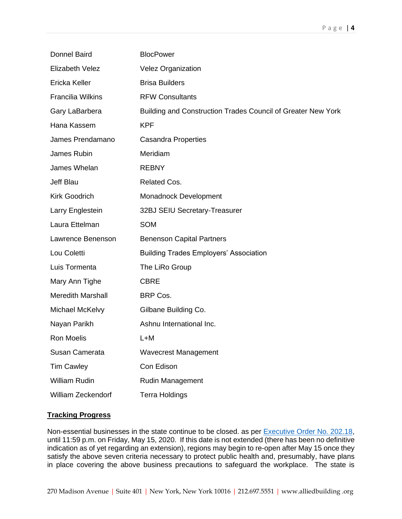| <b>Donnel Baird</b>      | <b>BlocPower</b>                                             |
|--------------------------|--------------------------------------------------------------|
| Elizabeth Velez          | <b>Velez Organization</b>                                    |
| Ericka Keller            | <b>Brisa Builders</b>                                        |
| <b>Francilia Wilkins</b> | <b>RFW Consultants</b>                                       |
| Gary LaBarbera           | Building and Construction Trades Council of Greater New York |
| Hana Kassem              | <b>KPF</b>                                                   |
| James Prendamano         | <b>Casandra Properties</b>                                   |
| James Rubin              | Meridiam                                                     |
| James Whelan             | <b>REBNY</b>                                                 |
| Jeff Blau                | <b>Related Cos.</b>                                          |
| <b>Kirk Goodrich</b>     | Monadnock Development                                        |
| Larry Englestein         | 32BJ SEIU Secretary-Treasurer                                |
| Laura Ettelman           | <b>SOM</b>                                                   |
| Lawrence Benenson        | <b>Benenson Capital Partners</b>                             |
| Lou Coletti              | <b>Building Trades Employers' Association</b>                |
| Luis Tormenta            | The LiRo Group                                               |
| Mary Ann Tighe           | <b>CBRE</b>                                                  |
| <b>Meredith Marshall</b> | BRP Cos.                                                     |
| Michael McKelvy          | Gilbane Building Co.                                         |
| Nayan Parikh             | Ashnu International Inc.                                     |
| <b>Ron Moelis</b>        | L+M                                                          |
| Susan Camerata           | <b>Wavecrest Management</b>                                  |
| <b>Tim Cawley</b>        | Con Edison                                                   |
| <b>William Rudin</b>     | <b>Rudin Management</b>                                      |
| William Zeckendorf       | <b>Terra Holdings</b>                                        |

# **Tracking Progress**

Non-essential businesses in the state continue to be closed. as per **Executive Order No. 202.18**, until 11:59 p.m. on Friday, May 15, 2020. If this date is not extended (there has been no definitive indication as of yet regarding an extension), regions may begin to re-open after May 15 once they satisfy the above seven criteria necessary to protect public health and, presumably, have plans in place covering the above business precautions to safeguard the workplace. The state is